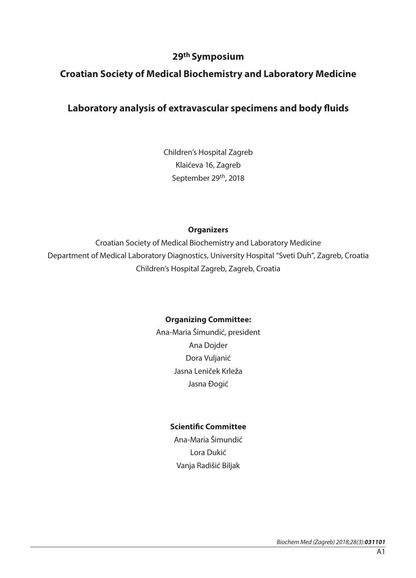## **29th Symposium**

## **Croatian Society of Medical Biochemistry and Laboratory Medicine**

## **Laboratory analysis of extravascular specimens and body fluids**

Children's Hospital Zagreb Klaićeva 16, Zagreb September 29th, 2018

#### **Organizers**

Croatian Society of Medical Biochemistry and Laboratory Medicine Department of Medical Laboratory Diagnostics, University Hospital "Sveti Duh", Zagreb, Croatia Children's Hospital Zagreb, Zagreb, Croatia

### **Organizing Committee:**

Ana-Maria Šimundić, president Ana Dojder Dora Vuljanić Jasna Leniček Krleža Jasna Đogić

### **Scientific Committee**

Ana-Maria Šimundić Lora Dukić Vanja Radišić Biljak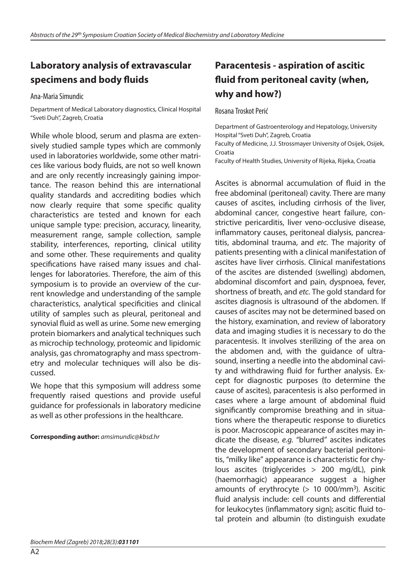# **Laboratory analysis of extravascular specimens and body fluids**

Ana-Maria Simundic

Department of Medical Laboratory diagnostics, Clinical Hospital "Sveti Duh", Zagreb, Croatia

While whole blood, serum and plasma are extensively studied sample types which are commonly used in laboratories worldwide, some other matrices like various body fluids, are not so well known and are only recently increasingly gaining importance. The reason behind this are international quality standards and accrediting bodies which now clearly require that some specific quality characteristics are tested and known for each unique sample type: precision, accuracy, linearity, measurement range, sample collection, sample stability, interferences, reporting, clinical utility and some other. These requirements and quality specifications have raised many issues and challenges for laboratories. Therefore, the aim of this symposium is to provide an overview of the current knowledge and understanding of the sample characteristics, analytical specificities and clinical utility of samples such as pleural, peritoneal and synovial fluid as well as urine. Some new emerging protein biomarkers and analytical techniques such as microchip technology, proteomic and lipidomic analysis, gas chromatography and mass spectrometry and molecular techniques will also be discussed.

We hope that this symposium will address some frequently raised questions and provide useful guidance for professionals in laboratory medicine as well as other professions in the healthcare.

**Corresponding author:** *amsimundic@kbsd.hr* 

## **Paracentesis - aspiration of ascitic fluid from peritoneal cavity (when, why and how?)**

#### Rosana Troskot Perić

Department of Gastroenterology and Hepatology, University Hospital "Sveti Duh", Zagreb, Croatia Faculty of Medicine, J.J. Strossmayer University of Osijek, Osijek,

Croatia

Faculty of Health Studies, University of Rijeka, Rijeka, Croatia

Ascites is abnormal accumulation of fluid in the free abdominal (peritoneal) cavity. There are many causes of ascites, including cirrhosis of the liver, abdominal cancer, congestive heart failure, constrictive pericarditis, liver veno-occlusive disease, inflammatory causes, peritoneal dialysis, pancreatitis, abdominal trauma, and *etc.* The majority of patients presenting with a clinical manifestation of ascites have liver cirrhosis. Clinical manifestations of the ascites are distended (swelling) abdomen, abdominal discomfort and pain, dyspnoea, fever, shortness of breath, and *etc.* The gold standard for ascites diagnosis is ultrasound of the abdomen. If causes of ascites may not be determined based on the history, examination, and review of laboratory data and imaging studies it is necessary to do the paracentesis. It involves sterilizing of the area on the abdomen and, with the guidance of ultrasound, inserting a needle into the abdominal cavity and withdrawing fluid for further analysis. Except for diagnostic purposes (to determine the cause of ascites), paracentesis is also performed in cases where a large amount of abdominal fluid significantly compromise breathing and in situations where the therapeutic response to diuretics is poor. Macroscopic appearance of ascites may indicate the disease, *e.g.* "blurred" ascites indicates the development of secondary bacterial peritonitis, "milky like" appearance is characteristic for chylous ascites (triglycerides > 200 mg/dL), pink (haemorrhagic) appearance suggest a higher amounts of erythrocyte  $(> 10 000/\text{mm}^3)$ . Ascitic fluid analysis include: cell counts and differential for leukocytes (inflammatory sign); ascitic fluid total protein and albumin (to distinguish exudate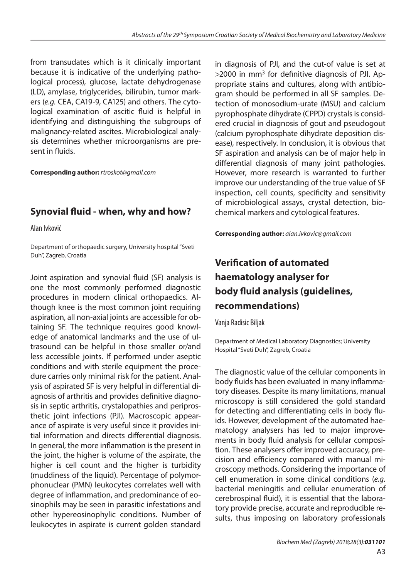from transudates which is it clinically important because it is indicative of the underlying pathological process), glucose, lactate dehydrogenase (LD), amylase, triglycerides, bilirubin, tumor markers (*e.g.* CEA, CA19-9, CA125) and others. The cytological examination of ascitic fluid is helpful in identifying and distinguishing the subgroups of malignancy-related ascites. Microbiological analysis determines whether microorganisms are present in fluids.

**Corresponding author:** *rtroskot@gmail.com*

## **Synovial fluid - when, why and how?**

Alan Ivković

Department of orthopaedic surgery, University hospital "Sveti Duh", Zagreb, Croatia

Joint aspiration and synovial fluid (SF) analysis is one the most commonly performed diagnostic procedures in modern clinical orthopaedics. Although knee is the most common joint requiring aspiration, all non-axial joints are accessible for obtaining SF. The technique requires good knowledge of anatomical landmarks and the use of ultrasound can be helpful in those smaller or/and less accessible joints. If performed under aseptic conditions and with sterile equipment the procedure carries only minimal risk for the patient. Analysis of aspirated SF is very helpful in differential diagnosis of arthritis and provides definitive diagnosis in septic arthritis, crystalopathies and periprosthetic joint infections (PJI). Macroscopic appearance of aspirate is very useful since it provides initial information and directs differential diagnosis. In general, the more inflammation is the present in the joint, the higher is volume of the aspirate, the higher is cell count and the higher is turbidity (muddiness of the liquid). Percentage of polymorphonuclear (PMN) leukocytes correlates well with degree of inflammation, and predominance of eosinophils may be seen in parasitic infestations and other hypereosinophylic conditions. Number of leukocytes in aspirate is current golden standard

in diagnosis of PJI, and the cut-of value is set at  $>$ 2000 in mm<sup>3</sup> for definitive diagnosis of PJI. Appropriate stains and cultures, along with antibiogram should be performed in all SF samples. Detection of monosodium-urate (MSU) and calcium pyrophosphate dihydrate (CPPD) crystals is considered crucial in diagnosis of gout and pseudogout (calcium pyrophosphate dihydrate deposition disease), respectively. In conclusion, it is obvious that SF aspiration and analysis can be of major help in differential diagnosis of many joint pathologies. However, more research is warranted to further improve our understanding of the true value of SF inspection, cell counts, specificity and sensitivity of microbiological assays, crystal detection, biochemical markers and cytological features.

**Corresponding author:** *[alan.ivkovic@gmail.com](mailto:alan.ivkovic@gmail.com)*

# **Verification of automated haematology analyser for body fluid analysis (guidelines, recommendations)**

Vanja Radisic Biljak

Department of Medical Laboratory Diagnostics; University Hospital "Sveti Duh", Zagreb, Croatia

The diagnostic value of the cellular components in body fluids has been evaluated in many inflammatory diseases. Despite its many limitations, manual microscopy is still considered the gold standard for detecting and differentiating cells in body fluids. However, development of the automated haematology analysers has led to major improvements in body fluid analysis for cellular composition. These analysers offer improved accuracy, precision and efficiency compared with manual microscopy methods. Considering the importance of cell enumeration in some clinical conditions (*e.g.* bacterial meningitis and cellular enumeration of cerebrospinal fluid), it is essential that the laboratory provide precise, accurate and reproducible results, thus imposing on laboratory professionals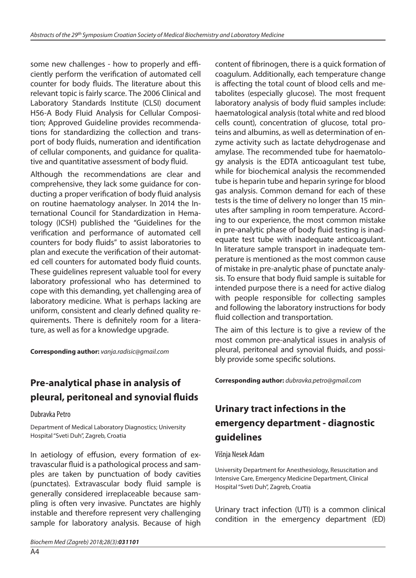some new challenges - how to properly and efficiently perform the verification of automated cell counter for body fluids. The literature about this relevant topic is fairly scarce. The 2006 Clinical and Laboratory Standards Institute (CLSI) document H56-A Body Fluid Analysis for Cellular Composition; Approved Guideline provides recommendations for standardizing the collection and transport of body fluids, numeration and identification of cellular components, and guidance for qualitative and quantitative assessment of body fluid.

Although the recommendations are clear and comprehensive, they lack some guidance for conducting a proper verification of body fluid analysis on routine haematology analyser. In 2014 the International Council for Standardization in Hematology (ICSH) published the "Guidelines for the verification and performance of automated cell counters for body fluids" to assist laboratories to plan and execute the verification of their automated cell counters for automated body fluid counts. These guidelines represent valuable tool for every laboratory professional who has determined to cope with this demanding, yet challenging area of laboratory medicine. What is perhaps lacking are uniform, consistent and clearly defined quality requirements. There is definitely room for a literature, as well as for a knowledge upgrade.

**Corresponding author:** *[vanja.radisic@gmail.com](mailto:vanja.radisic@gmail.com)*

## **Pre-analytical phase in analysis of pleural, peritoneal and synovial fluids**

### Dubravka Petro

Department of Medical Laboratory Diagnostics; University Hospital "Sveti Duh", Zagreb, Croatia

In aetiology of effusion, every formation of extravascular fluid is a pathological process and samples are taken by punctuation of body cavities (punctates). Extravascular body fluid sample is generally considered irreplaceable because sampling is often very invasive. Punctates are highly instable and therefore represent very challenging sample for laboratory analysis. Because of high content of fibrinogen, there is a quick formation of coagulum. Additionally, each temperature change is affecting the total count of blood cells and metabolites (especially glucose). The most frequent laboratory analysis of body fluid samples include: haematological analysis (total white and red blood cells count), concentration of glucose, total proteins and albumins, as well as determination of enzyme activity such as lactate dehydrogenase and amylase. The recommended tube for haematology analysis is the EDTA anticoagulant test tube, while for biochemical analysis the recommended tube is heparin tube and heparin syringe for blood gas analysis. Common demand for each of these tests is the time of delivery no longer than 15 minutes after sampling in room temperature. According to our experience, the most common mistake in pre-analytic phase of body fluid testing is inadequate test tube with inadequate anticoagulant. In literature sample transport in inadequate temperature is mentioned as the most common cause of mistake in pre-analytic phase of punctate analysis. To ensure that body fluid sample is suitable for intended purpose there is a need for active dialog with people responsible for collecting samples and following the laboratory instructions for body

The aim of this lecture is to give a review of the most common pre-analytical issues in analysis of pleural, peritoneal and synovial fluids, and possibly provide some specific solutions.

**Corresponding author:** *[dubravka.petro@gmail.com](mailto:dubravka.petro@gmail.com)*

fluid collection and transportation.

## **Urinary tract infections in the emergency department - diagnostic guidelines**

#### Višnja Nesek Adam

University Department for Anesthesiology, Resuscitation and Intensive Care, Emergency Medicine Department, Clinical Hospital "Sveti Duh", Zagreb, Croatia

Urinary tract infection (UTI) is a common clinical condition in the emergency department (ED)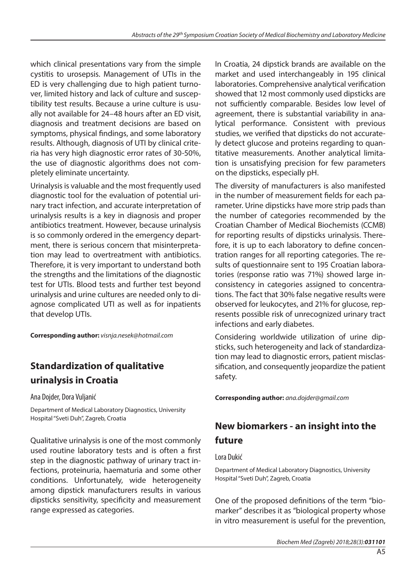which clinical presentations vary from the simple cystitis to urosepsis. Management of UTIs in the ED is very challenging due to high patient turnover, limited history and lack of culture and susceptibility test results. Because a urine culture is usually not available for 24–48 hours after an ED visit, diagnosis and treatment decisions are based on symptoms, physical findings, and some laboratory results. Although, diagnosis of UTI by clinical criteria has very high diagnostic error rates of 30-50%, the use of diagnostic algorithms does not completely eliminate uncertainty.

Urinalysis is valuable and the most frequently used diagnostic tool for the evaluation of potential urinary tract infection, and accurate interpretation of urinalysis results is a key in diagnosis and proper antibiotics treatment. However, because urinalysis is so commonly ordered in the emergency department, there is serious concern that misinterpretation may lead to overtreatment with antibiotics. Therefore, it is very important to understand both the strengths and the limitations of the diagnostic test for UTIs. Blood tests and further test beyond urinalysis and urine cultures are needed only to diagnose complicated UTI as well as for inpatients that develop UTIs.

**Corresponding author:** *visnja.nesek@hotmail.com* 

## **Standardization of qualitative urinalysis in Croatia**

Ana Dojder, Dora Vuljanić

Department of Medical Laboratory Diagnostics, University Hospital "Sveti Duh", Zagreb, Croatia

Qualitative urinalysis is one of the most commonly used routine laboratory tests and is often a first step in the diagnostic pathway of urinary tract infections, proteinuria, haematuria and some other conditions. Unfortunately, wide heterogeneity among dipstick manufacturers results in various dipsticks sensitivity, specificity and measurement range expressed as categories.

In Croatia, 24 dipstick brands are available on the market and used interchangeably in 195 clinical laboratories. Comprehensive analytical verification showed that 12 most commonly used dipsticks are not sufficiently comparable. Besides low level of agreement, there is substantial variability in analytical performance. Consistent with previous studies, we verified that dipsticks do not accurately detect glucose and proteins regarding to quantitative measurements. Another analytical limitation is unsatisfying precision for few parameters on the dipsticks, especially pH.

The diversity of manufacturers is also manifested in the number of measurement fields for each parameter. Urine dipsticks have more strip pads than the number of categories recommended by the Croatian Chamber of Medical Biochemists (CCMB) for reporting results of dipsticks urinalysis. Therefore, it is up to each laboratory to define concentration ranges for all reporting categories. The results of questionnaire sent to 195 Croatian laboratories (response ratio was 71%) showed large inconsistency in categories assigned to concentrations. The fact that 30% false negative results were observed for leukocytes, and 21% for glucose, represents possible risk of unrecognized urinary tract infections and early diabetes.

Considering worldwide utilization of urine dipsticks, such heterogeneity and lack of standardization may lead to diagnostic errors, patient misclassification, and consequently jeopardize the patient safety.

**Corresponding author:** *ana.dojder@gmail.com*

# **New biomarkers - an insight into the future**

### Lora Dukić

Department of Medical Laboratory Diagnostics, University Hospital "Sveti Duh", Zagreb, Croatia

One of the proposed definitions of the term "biomarker" describes it as "biological property whose in vitro measurement is useful for the prevention,